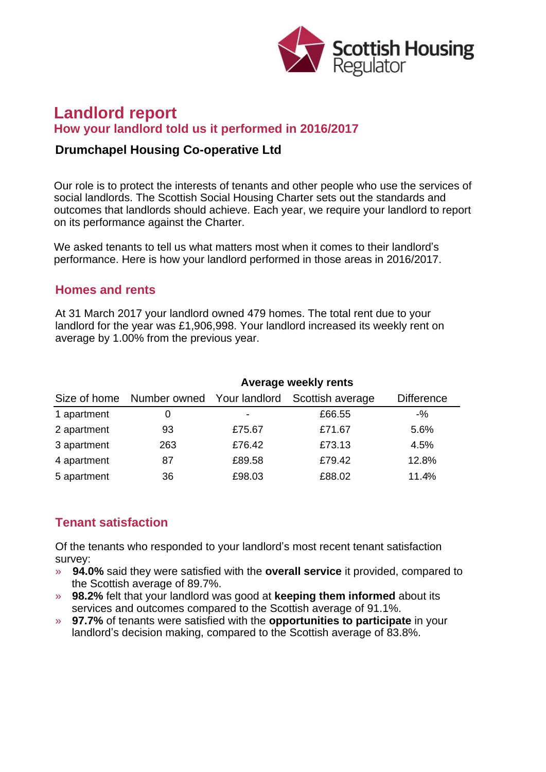

# **Landlord report How your landlord told us it performed in 2016/2017**

### **Drumchapel Housing Co-operative Ltd**

Our role is to protect the interests of tenants and other people who use the services of social landlords. The Scottish Social Housing Charter sets out the standards and outcomes that landlords should achieve. Each year, we require your landlord to report on its performance against the Charter.

We asked tenants to tell us what matters most when it comes to their landlord's performance. Here is how your landlord performed in those areas in 2016/2017.

#### **Homes and rents**

At 31 March 2017 your landlord owned 479 homes. The total rent due to your landlord for the year was £1,906,998. Your landlord increased its weekly rent on average by 1.00% from the previous year.

|             | Average weekly rents                    |        |                  |                   |
|-------------|-----------------------------------------|--------|------------------|-------------------|
|             | Size of home Number owned Your landlord |        | Scottish average | <b>Difference</b> |
| 1 apartment | 0                                       |        | £66.55           | $-$ %             |
| 2 apartment | 93                                      | £75.67 | £71.67           | 5.6%              |
| 3 apartment | 263                                     | £76.42 | £73.13           | 4.5%              |
| 4 apartment | 87                                      | £89.58 | £79.42           | 12.8%             |
| 5 apartment | 36                                      | £98.03 | £88.02           | 11.4%             |

### **Tenant satisfaction**

Of the tenants who responded to your landlord's most recent tenant satisfaction survey:

- » **94.0%** said they were satisfied with the **overall service** it provided, compared to the Scottish average of 89.7%.
- » **98.2%** felt that your landlord was good at **keeping them informed** about its services and outcomes compared to the Scottish average of 91.1%.
- » **97.7%** of tenants were satisfied with the **opportunities to participate** in your landlord's decision making, compared to the Scottish average of 83.8%.